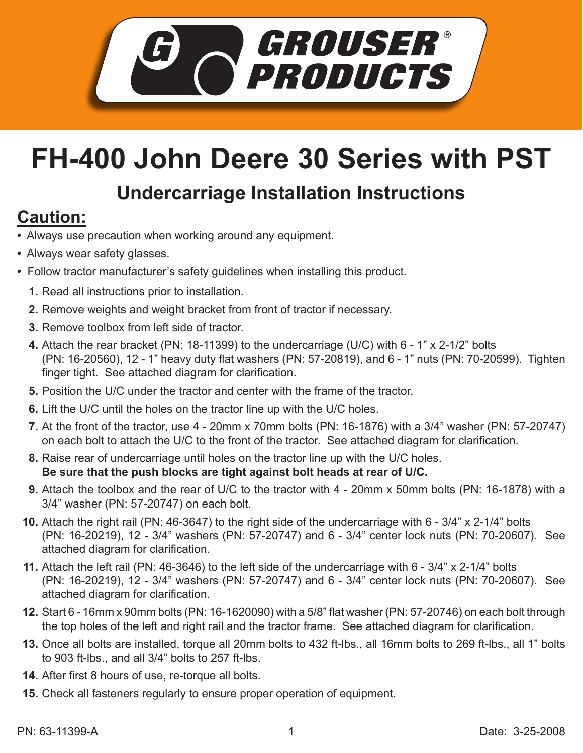

## **FH-400 John Deere 30 Series with PST**

## **Undercarriage Installation Instructions**

## **Caution:**

- Always use precaution when working around any equipment.
- Always wear safety glasses.
- Follow tractor manufacturer's safety guidelines when installing this product.
	- **1.** Read all instructions prior to installation.
	- 2. Remove weights and weight bracket from front of tractor if necessary.
	- **3.** Remove toolbox from left side of tractor.
	- Attach the rear bracket (PN: 18-11399) to the undercarriage (U/C) with 6 1" x 2-1/2" bolts **4.** (PN: 16-20560), 12 - 1" heavy duty flat washers (PN: 57-20819), and 6 - 1" nuts (PN: 70-20599). Tighten finger tight. See attached diagram for clarification.
	- **5.** Position the U/C under the tractor and center with the frame of the tractor.
	- **6.** Lift the U/C until the holes on the tractor line up with the U/C holes.
	- At the front of the tractor, use 4 20mm x 70mm bolts (PN: 16-1876) with a 3/4" washer (PN: 57-20747) **7.** on each bolt to attach the U/C to the front of the tractor. See attached diagram for clarification.
	- **8.** Raise rear of undercarriage until holes on the tractor line up with the U/C holes. **Be sure that the push blocks are tight against bolt heads at rear of U/C.**
	- Attach the toolbox and the rear of U/C to the tractor with 4 20mm x 50mm bolts (PN: 16-1878) with a **9.** 3/4" washer (PN: 57-20747) on each bolt.
	- **10.** Attach the right rail (PN: 46-3647) to the right side of the undercarriage with 6 3/4" x 2-1/4" bolts (PN: 16-20219), 12 - 3/4" washers (PN: 57-20747) and 6 - 3/4" center lock nuts (PN: 70-20607). See attached diagram for clarification.
	- Attach the left rail (PN: 46-3646) to the left side of the undercarriage with 6 3/4" x 2-1/4" bolts **11.** (PN: 16-20219), 12 - 3/4" washers (PN: 57-20747) and 6 - 3/4" center lock nuts (PN: 70-20607). See attached diagram for clarification.
	- **12.** Start 6 16mm x 90mm bolts (PN: 16-1620090) with a 5/8" flat washer (PN: 57-20746) on each bolt through the top holes of the left and right rail and the tractor frame. See attached diagram for clarification.
- **13.** Once all bolts are installed, torque all 20mm bolts to 432 ft-lbs., all 16mm bolts to 269 ft-lbs., all 1" bolts to 903 ft-lbs., and all 3/4" bolts to 257 ft-lbs.
- **14.** After first 8 hours of use, re-torque all bolts.
- **15.** Check all fasteners regularly to ensure proper operation of equipment.